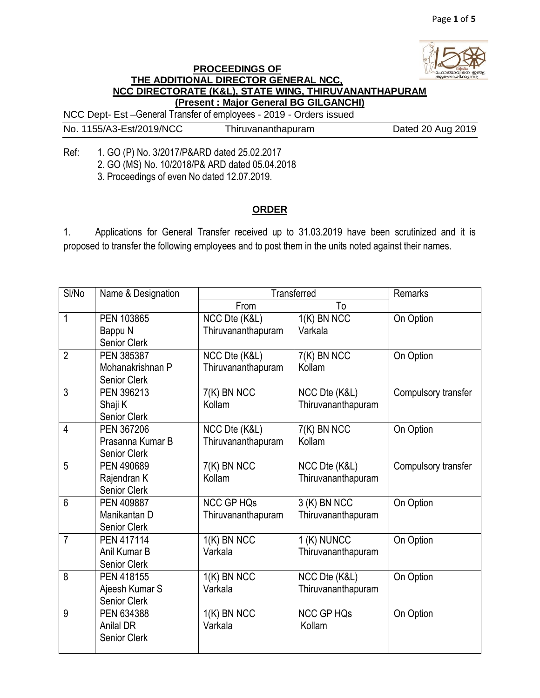

## **PROCEEDINGS OF THE ADDITIONAL DIRECTOR GENERAL NCC, NCC DIRECTORATE (K&L), STATE WING, THIRUVANANTHAPURAM (Present : Major General BG GILGANCHI)**

NCC Dept- Est –General Transfer of employees - 2019 - Orders issued

No. 1155/A3-Est/2019/NCC Thiruvananthapuram Dated 20 Aug 2019

Ref: 1. GO (P) No. 3/2017/P&ARD dated 25.02.2017 2. GO (MS) No. 10/2018/P& ARD dated 05.04.2018 3. Proceedings of even No dated 12.07.2019.

## **ORDER**

1. Applications for General Transfer received up to 31.03.2019 have been scrutinized and it is proposed to transfer the following employees and to post them in the units noted against their names.

| SI/No          | Name & Designation               | <b>Transferred</b>                  |                                    | Remarks             |
|----------------|----------------------------------|-------------------------------------|------------------------------------|---------------------|
|                |                                  | From                                | To                                 |                     |
| 1              | PEN 103865                       | NCC Dte (K&L)                       | $1(K)$ BN NCC                      | On Option           |
|                | Bappu N<br><b>Senior Clerk</b>   | Thiruvananthapuram                  | Varkala                            |                     |
| $\overline{2}$ | PEN 385387                       | NCC Dte (K&L)                       | 7(K) BN NCC                        | On Option           |
|                | Mohanakrishnan P<br>Senior Clerk | Thiruvananthapuram                  | Kollam                             |                     |
| $\overline{3}$ | PEN 396213                       | 7(K) BN NCC                         | NCC Dte (K&L)                      | Compulsory transfer |
|                | Shaji K                          | Kollam                              | Thiruvananthapuram                 |                     |
| $\overline{4}$ | Senior Clerk                     |                                     |                                    |                     |
|                | PEN 367206<br>Prasanna Kumar B   | NCC Dte (K&L)<br>Thiruvananthapuram | $\overline{7(K)}$ BN NCC<br>Kollam | On Option           |
|                | Senior Clerk                     |                                     |                                    |                     |
| 5              | PEN 490689                       | 7(K) BN NCC                         | NCC Dte (K&L)                      | Compulsory transfer |
|                | Rajendran K                      | Kollam                              | Thiruvananthapuram                 |                     |
|                | <b>Senior Clerk</b>              |                                     |                                    |                     |
| 6              | PEN 409887                       | <b>NCC GP HQs</b>                   | 3 (K) BN NCC                       | On Option           |
|                | Manikantan D                     | Thiruvananthapuram                  | Thiruvananthapuram                 |                     |
| $\overline{7}$ | Senior Clerk                     |                                     |                                    |                     |
|                | PEN 417114<br>Anil Kumar B       | $1(K)$ BN NCC<br>Varkala            | 1 (K) NUNCC                        | On Option           |
|                | Senior Clerk                     |                                     | Thiruvananthapuram                 |                     |
| 8              | PEN 418155                       | $1(K)$ BN NCC                       | NCC Dte (K&L)                      | On Option           |
|                | Ajeesh Kumar S                   | Varkala                             | Thiruvananthapuram                 |                     |
|                | Senior Clerk                     |                                     |                                    |                     |
| 9              | PEN 634388                       | $1(K)$ BN NCC                       | <b>NCC GP HQs</b>                  | On Option           |
|                | <b>Anilal DR</b>                 | Varkala                             | Kollam                             |                     |
|                | <b>Senior Clerk</b>              |                                     |                                    |                     |
|                |                                  |                                     |                                    |                     |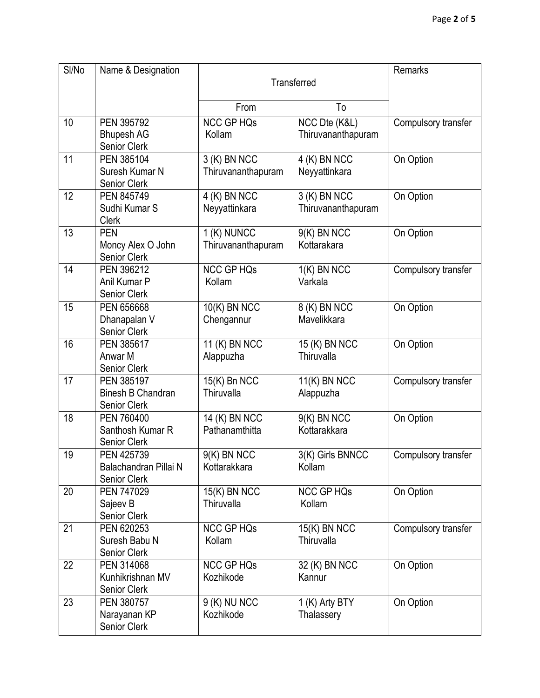| SI/No | Name & Designation                                            | Transferred                        |                                        | Remarks             |
|-------|---------------------------------------------------------------|------------------------------------|----------------------------------------|---------------------|
|       |                                                               | From                               | To                                     |                     |
| 10    | PEN 395792<br><b>Bhupesh AG</b><br>Senior Clerk               | <b>NCC GP HQs</b><br>Kollam        | NCC Dte (K&L)<br>Thiruvananthapuram    | Compulsory transfer |
| 11    | PEN 385104<br>Suresh Kumar N<br>Senior Clerk                  | 3 (K) BN NCC<br>Thiruvananthapuram | 4 (K) BN NCC<br>Neyyattinkara          | On Option           |
| 12    | PEN 845749<br>Sudhi Kumar S<br><b>Clerk</b>                   | 4 (K) BN NCC<br>Neyyattinkara      | 3 (K) BN NCC<br>Thiruvananthapuram     | On Option           |
| 13    | <b>PEN</b><br>Moncy Alex O John<br>Senior Clerk               | $1(K)$ NUNCC<br>Thiruvananthapuram | 9(K) BN NCC<br>Kottarakara             | On Option           |
| 14    | PEN 396212<br>Anil Kumar P<br><b>Senior Clerk</b>             | <b>NCC GP HQs</b><br>Kollam        | $1(K)$ BN NCC<br>Varkala               | Compulsory transfer |
| 15    | PEN 656668<br>Dhanapalan V<br>Senior Clerk                    | 10(K) BN NCC<br>Chengannur         | 8 (K) BN NCC<br>Mavelikkara            | On Option           |
| 16    | PEN 385617<br>Anwar M<br><b>Senior Clerk</b>                  | 11 $(K)$ BN NCC<br>Alappuzha       | 15 (K) BN NCC<br>Thiruvalla            | On Option           |
| 17    | PEN 385197<br><b>Binesh B Chandran</b><br><b>Senior Clerk</b> | $15(K)$ Bn NCC<br>Thiruvalla       | $\overline{11(K)}$ BN NCC<br>Alappuzha | Compulsory transfer |
| 18    | PEN 760400<br>Santhosh Kumar R<br>Senior Clerk                | 14 (K) BN NCC<br>Pathanamthitta    | 9(K) BN NCC<br>Kottarakkara            | On Option           |
| 19    | PEN 425739<br>Balachandran Pillai N<br>Senior Clerk           | $9(K)$ BN NCC<br>Kottarakkara      | 3(K) Girls BNNCC<br>Kollam             | Compulsory transfer |
| 20    | PEN 747029<br>Sajeev B<br>Senior Clerk                        | 15(K) BN NCC<br>Thiruvalla         | <b>NCC GP HQs</b><br>Kollam            | On Option           |
| 21    | PEN 620253<br>Suresh Babu N<br>Senior Clerk                   | <b>NCC GP HQs</b><br>Kollam        | 15(K) BN NCC<br>Thiruvalla             | Compulsory transfer |
| 22    | PEN 314068<br>Kunhikrishnan MV<br><b>Senior Clerk</b>         | <b>NCC GP HQs</b><br>Kozhikode     | 32 (K) BN NCC<br>Kannur                | On Option           |
| 23    | PEN 380757<br>Narayanan KP<br>Senior Clerk                    | 9 (K) NU NCC<br>Kozhikode          | 1 (K) Arty BTY<br>Thalassery           | On Option           |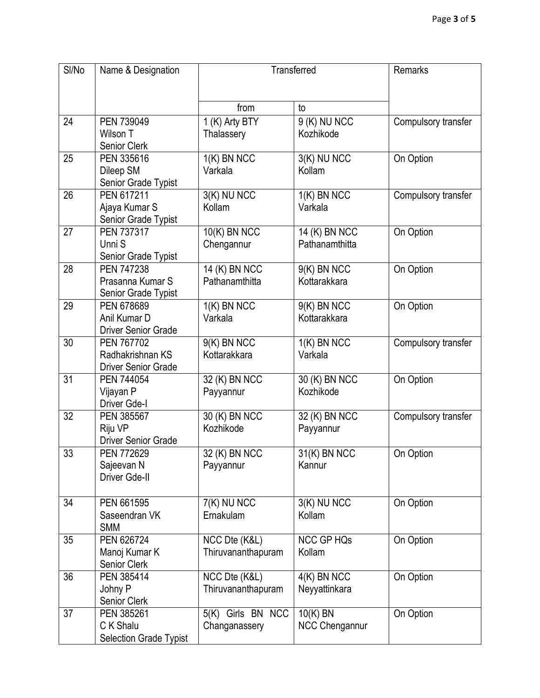| SI/No | Name & Designation                    | Transferred        |                   | Remarks             |
|-------|---------------------------------------|--------------------|-------------------|---------------------|
|       |                                       |                    |                   |                     |
|       |                                       | from               | to                |                     |
| 24    | PEN 739049                            | 1 (K) Arty BTY     | 9 (K) NU NCC      | Compulsory transfer |
|       | Wilson T                              | Thalassery         | Kozhikode         |                     |
|       | Senior Clerk                          |                    |                   |                     |
| 25    | PEN 335616                            | $1(K)$ BN NCC      | 3(K) NU NCC       | On Option           |
|       | Dileep SM                             | Varkala            | Kollam            |                     |
|       | Senior Grade Typist                   |                    |                   |                     |
| 26    | PEN 617211                            | 3(K) NU NCC        | $1(K)$ BN NCC     | Compulsory transfer |
|       | Ajaya Kumar S                         | Kollam             | Varkala           |                     |
|       | Senior Grade Typist                   |                    |                   |                     |
| 27    | PEN 737317                            | 10(K) BN NCC       | 14 (K) BN NCC     | On Option           |
|       | Unni S                                | Chengannur         | Pathanamthitta    |                     |
|       | Senior Grade Typist                   |                    |                   |                     |
| 28    | <b>PEN 747238</b>                     | 14 (K) BN NCC      | $9(K)$ BN NCC     | On Option           |
|       | Prasanna Kumar S                      | Pathanamthitta     | Kottarakkara      |                     |
|       | Senior Grade Typist                   |                    |                   |                     |
| 29    | PEN 678689                            | $1(K)$ BN NCC      | 9(K) BN NCC       | On Option           |
|       | Anil Kumar D                          | Varkala            | Kottarakkara      |                     |
|       | <b>Driver Senior Grade</b>            |                    |                   |                     |
| 30    | PEN 767702                            | 9(K) BN NCC        | $1(K)$ BN NCC     | Compulsory transfer |
|       | Radhakrishnan KS                      | Kottarakkara       | Varkala           |                     |
|       | <b>Driver Senior Grade</b>            |                    |                   |                     |
| 31    | PEN 744054                            | 32 (K) BN NCC      | 30 (K) BN NCC     | On Option           |
|       | Vijayan P                             | Payyannur          | Kozhikode         |                     |
|       | Driver Gde-I                          |                    |                   |                     |
| 32    | PEN 385567                            | 30 (K) BN NCC      | 32 (K) BN NCC     | Compulsory transfer |
|       | Riju VP<br><b>Driver Senior Grade</b> | Kozhikode          | Payyannur         |                     |
| 33    |                                       |                    |                   |                     |
|       | PEN 772629                            | 32 (K) BN NCC      | 31(K) BN NCC      | On Option           |
|       | Sajeevan N<br>Driver Gde-II           | Payyannur          | Kannur            |                     |
|       |                                       |                    |                   |                     |
| 34    | PEN 661595                            | 7(K) NU NCC        | 3(K) NU NCC       | On Option           |
|       | Saseendran VK                         | Ernakulam          | Kollam            |                     |
|       | <b>SMM</b>                            |                    |                   |                     |
| 35    | PEN 626724                            | NCC Dte (K&L)      | <b>NCC GP HQs</b> | On Option           |
|       | Manoj Kumar K                         | Thiruvananthapuram | Kollam            |                     |
|       | Senior Clerk                          |                    |                   |                     |
| 36    | PEN 385414                            | NCC Dte (K&L)      | $4(K)$ BN NCC     | On Option           |
|       | Johny P                               | Thiruvananthapuram | Neyyattinkara     |                     |
|       | Senior Clerk                          |                    |                   |                     |
| 37    | PEN 385261                            | 5(K) Girls BN NCC  | 10(K) BN          | On Option           |
|       | C K Shalu                             | Changanassery      | NCC Chengannur    |                     |
|       | Selection Grade Typist                |                    |                   |                     |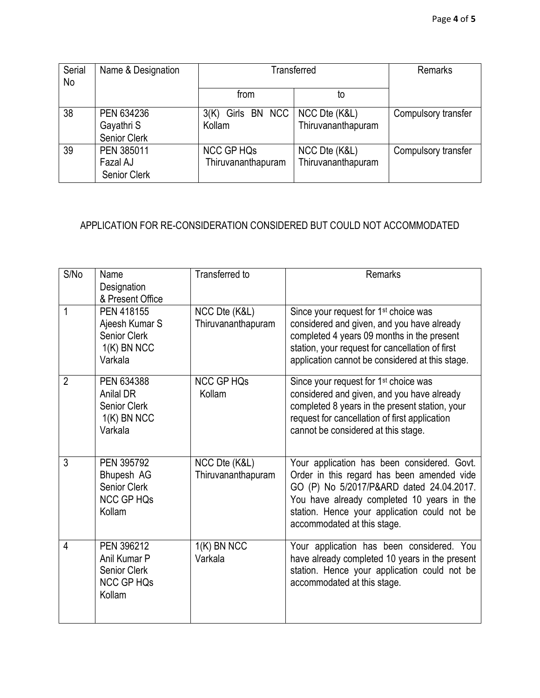| Serial<br>No | Name & Designation                            | Transferred                                    |                                     | <b>Remarks</b>      |
|--------------|-----------------------------------------------|------------------------------------------------|-------------------------------------|---------------------|
|              |                                               | from                                           | to                                  |                     |
| 38           | PEN 634236<br>Gayathri S<br>Senior Clerk      | Girls BN NCC   NCC Dte (K&L)<br>3(K)<br>Kollam | Thiruvananthapuram                  | Compulsory transfer |
| 39           | PEN 385011<br>Fazal AJ<br><b>Senior Clerk</b> | <b>NCC GP HQs</b><br>Thiruvananthapuram        | NCC Dte (K&L)<br>Thiruvananthapuram | Compulsory transfer |

## APPLICATION FOR RE-CONSIDERATION CONSIDERED BUT COULD NOT ACCOMMODATED

| S/No           | Name<br>Designation                                                               | Transferred to                      | Remarks                                                                                                                                                                                                                                                            |
|----------------|-----------------------------------------------------------------------------------|-------------------------------------|--------------------------------------------------------------------------------------------------------------------------------------------------------------------------------------------------------------------------------------------------------------------|
|                | & Present Office                                                                  |                                     |                                                                                                                                                                                                                                                                    |
| 1              | PEN 418155<br>Ajeesh Kumar S<br>Senior Clerk<br>$1(K)$ BN NCC<br>Varkala          | NCC Dte (K&L)<br>Thiruvananthapuram | Since your request for 1 <sup>st</sup> choice was<br>considered and given, and you have already<br>completed 4 years 09 months in the present<br>station, your request for cancellation of first<br>application cannot be considered at this stage.                |
| $\overline{2}$ | PEN 634388<br><b>Anilal DR</b><br><b>Senior Clerk</b><br>$1(K)$ BN NCC<br>Varkala | <b>NCC GP HQs</b><br>Kollam         | Since your request for 1 <sup>st</sup> choice was<br>considered and given, and you have already<br>completed 8 years in the present station, your<br>request for cancellation of first application<br>cannot be considered at this stage.                          |
| 3              | PEN 395792<br>Bhupesh AG<br>Senior Clerk<br><b>NCC GP HQs</b><br>Kollam           | NCC Dte (K&L)<br>Thiruvananthapuram | Your application has been considered. Govt.<br>Order in this regard has been amended vide<br>GO (P) No 5/2017/P&ARD dated 24.04.2017.<br>You have already completed 10 years in the<br>station. Hence your application could not be<br>accommodated at this stage. |
| 4              | PEN 396212<br>Anil Kumar P<br><b>Senior Clerk</b><br><b>NCC GP HQs</b><br>Kollam  | $1(K)$ BN NCC<br>Varkala            | Your application has been considered. You<br>have already completed 10 years in the present<br>station. Hence your application could not be<br>accommodated at this stage.                                                                                         |